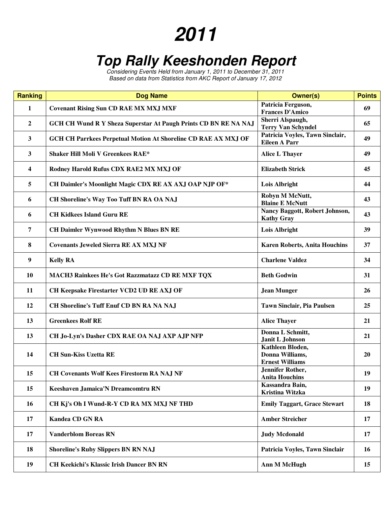## **2011**

## **Top Rally Keeshonden Report**

Considering Events Held from January 1, 2011 to December 31, 2011 Based on data from Statistics from AKC Report of January 17, 2012

| <b>Ranking</b>   | <b>Dog Name</b>                                                        | <b>Owner(s)</b>                                               | <b>Points</b> |
|------------------|------------------------------------------------------------------------|---------------------------------------------------------------|---------------|
| $\mathbf{1}$     | <b>Covenant Rising Sun CD RAE MX MXJ MXF</b>                           | Patricia Ferguson,<br><b>Frances D'Amico</b>                  | 69            |
| $\boldsymbol{2}$ | <b>GCH CH Wund R Y Sheza Superstar At Paugh Prints CD BN RE NA NAJ</b> | Sherri Alspaugh,<br><b>Terry Van Schyndel</b>                 | 65            |
| 3                | <b>GCH CH Parrkees Perpetual Motion At Shoreline CD RAE AX MXJ OF</b>  | Patricia Voyles, Tawn Sinclair,<br><b>Eileen A Parr</b>       | 49            |
| 3                | <b>Shaker Hill Moli V Greenkees RAE*</b>                               | <b>Alice L Thayer</b>                                         | 49            |
| 4                | Rodney Harold Rufus CDX RAE2 MX MXJ OF                                 | <b>Elizabeth Strick</b>                                       | 45            |
| 5                | CH Daimler's Moonlight Magic CDX RE AX AXJ OAP NJP OF*                 | Lois Albright                                                 | 44            |
| 6                | CH Shoreline's Way Too Tuff BN RA OA NAJ                               | Robyn M McNutt,<br><b>Blaine E McNutt</b>                     | 43            |
| 6                | <b>CH Kidkees Island Guru RE</b>                                       | Nancy Baggott, Robert Johnson,<br><b>Kathy Gray</b>           | 43            |
| 7                | <b>CH Daimler Wynwood Rhythm N Blues BN RE</b>                         | Lois Albright                                                 | 39            |
| 8                | <b>Covenants Jeweled Sierra RE AX MXJ NF</b>                           | <b>Karen Roberts, Anita Houchins</b>                          | 37            |
| 9                | <b>Kelly RA</b>                                                        | <b>Charlene Valdez</b>                                        | 34            |
| <b>10</b>        | <b>MACH3 Rainkees He's Got Razzmatazz CD RE MXF TQX</b>                | <b>Beth Godwin</b>                                            | 31            |
| 11               | CH Keepsake Firestarter VCD2 UD RE AXJ OF                              | <b>Jean Munger</b>                                            | 26            |
| 12               | <b>CH Shoreline's Tuff Enuf CD BN RA NA NAJ</b>                        | <b>Tawn Sinclair, Pia Paulsen</b>                             | 25            |
| 13               | <b>Greenkees Rolf RE</b>                                               | <b>Alice Thayer</b>                                           | 21            |
| 13               | CH Jo-Lyn's Dasher CDX RAE OA NAJ AXP AJP NFP                          | Donna L Schmitt,<br>Janit L Johnson                           | 21            |
| 14               | <b>CH Sun-Kiss Uzetta RE</b>                                           | Kathleen Bloden,<br>Donna Williams,<br><b>Ernest Williams</b> | 20            |
| 15               | <b>CH Covenants Wolf Kees Firestorm RA NAJ NF</b>                      | <b>Jennifer Rother,</b><br><b>Anita Houchins</b>              | 19            |
| 15               | Keeshaven Jamaica'N Dreamcomtru RN                                     | Kassandra Bain,<br>Kristina Witzka                            | 19            |
| 16               | CH Kj's Oh I Wund-R-Y CD RA MX MXJ NF THD                              | <b>Emily Taggart, Grace Stewart</b>                           | 18            |
| 17               | <b>Kandea CD GN RA</b>                                                 | <b>Amber Streicher</b>                                        | 17            |
| 17               | <b>Vanderblom Boreas RN</b>                                            | <b>Judy Mcdonald</b>                                          | 17            |
| 18               | <b>Shoreline's Ruby Slippers BN RN NAJ</b>                             | Patricia Voyles, Tawn Sinclair                                | 16            |
| 19               | <b>CH Keekichi's Klassic Irish Dancer BN RN</b>                        | <b>Ann M McHugh</b>                                           | 15            |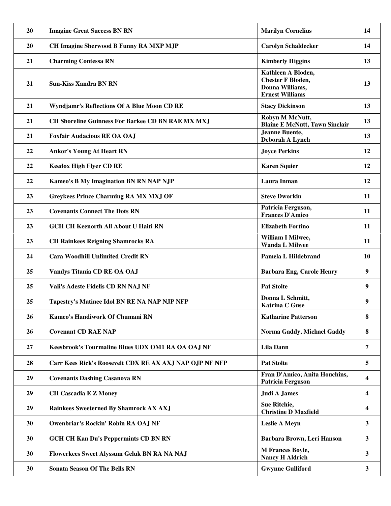| 20 | <b>Imagine Great Success BN RN</b>                       | <b>Marilyn Cornelius</b>                                                                    | 14        |
|----|----------------------------------------------------------|---------------------------------------------------------------------------------------------|-----------|
| 20 | CH Imagine Sherwood B Funny RA MXP MJP                   | <b>Carolyn Schaldecker</b>                                                                  | 14        |
| 21 | <b>Charming Contessa RN</b>                              | <b>Kimberly Higgins</b>                                                                     | 13        |
| 21 | <b>Sun-Kiss Xandra BN RN</b>                             | Kathleen A Bloden,<br><b>Chester F Bloden,</b><br>Donna Williams,<br><b>Ernest Williams</b> | 13        |
| 21 | Wyndjamr's Reflections Of A Blue Moon CD RE              | <b>Stacy Dickinson</b>                                                                      | 13        |
| 21 | <b>CH Shoreline Guinness For Barkee CD BN RAE MX MXJ</b> | Robyn M McNutt,<br><b>Blaine E McNutt, Tawn Sinclair</b>                                    | 13        |
| 21 | <b>Foxfair Audacious RE OA OAJ</b>                       | <b>Jeanne Buente,</b><br>Deborah A Lynch                                                    | 13        |
| 22 | <b>Ankor's Young At Heart RN</b>                         | <b>Joyce Perkins</b>                                                                        | 12        |
| 22 | <b>Keedox High Flyer CD RE</b>                           | <b>Karen Squier</b>                                                                         | 12        |
| 22 | <b>Kameo's B My Imagination BN RN NAP NJP</b>            | <b>Laura Inman</b>                                                                          | 12        |
| 23 | <b>Greykees Prince Charming RA MX MXJ OF</b>             | <b>Steve Dworkin</b>                                                                        | 11        |
| 23 | <b>Covenants Connect The Dots RN</b>                     | Patricia Ferguson,<br><b>Frances D'Amico</b>                                                | 11        |
| 23 | <b>GCH CH Keenorth All About U Haiti RN</b>              | <b>Elizabeth Fortino</b>                                                                    | 11        |
| 23 | <b>CH Rainkees Reigning Shamrocks RA</b>                 | William I Milwee,<br><b>Wanda L Milwee</b>                                                  | 11        |
| 24 | <b>Cara Woodhill Unlimited Credit RN</b>                 | Pamela L Hildebrand                                                                         | <b>10</b> |
| 25 | Vandys Titania CD RE OA OAJ                              | <b>Barbara Eng, Carole Henry</b>                                                            | 9         |
| 25 | Vali's Adeste Fidelis CD RN NAJ NF                       | <b>Pat Stolte</b>                                                                           | 9         |
| 25 | Tapestry's Matinee Idol BN RE NA NAP NJP NFP             | Donna L Schmitt,<br><b>Katrina C Guse</b>                                                   | 9         |
| 26 | Kameo's Handiwork Of Chumani RN                          | <b>Katharine Patterson</b>                                                                  | 8         |
| 26 | <b>Covenant CD RAE NAP</b>                               | Norma Gaddy, Michael Gaddy                                                                  | 8         |
| 27 | Keesbrook's Tourmaline Blues UDX OM1 RA OA OAJ NF        | <b>Lila Dann</b>                                                                            | 7         |
| 28 | Carr Kees Rick's Roosevelt CDX RE AX AXJ NAP OJP NF NFP  | <b>Pat Stolte</b>                                                                           | 5         |
| 29 | <b>Covenants Dashing Casanova RN</b>                     | Fran D'Amico, Anita Houchins,<br><b>Patricia Ferguson</b>                                   | 4         |
| 29 | <b>CH Cascadia E Z Money</b>                             | Judi A James                                                                                | 4         |
| 29 | Rainkees Sweeterned By Shamrock AX AXJ                   | Sue Ritchie,<br><b>Christine D Maxfield</b>                                                 | 4         |
| 30 | Owenbriar's Rockin' Robin RA OAJ NF                      | <b>Leslie A Meyn</b>                                                                        | 3         |
| 30 | <b>GCH CH Kan Du's Peppermints CD BN RN</b>              | Barbara Brown, Leri Hanson                                                                  | 3         |
| 30 | Flowerkees Sweet Alyssum Geluk BN RA NA NAJ              | <b>M Frances Boyle,</b><br><b>Nancy H Aldrich</b>                                           | 3         |
| 30 | <b>Sonata Season Of The Bells RN</b>                     | <b>Gwynne Gulliford</b>                                                                     | 3         |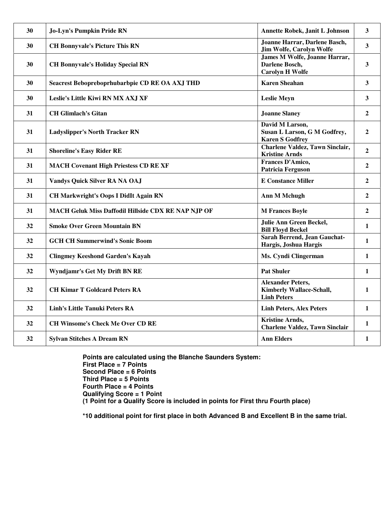| 30 | Jo-Lyn's Pumpkin Pride RN                           | Annette Robek, Janit L Johnson                                                    | $\overline{\mathbf{3}}$ |
|----|-----------------------------------------------------|-----------------------------------------------------------------------------------|-------------------------|
| 30 | <b>CH Bonnyvale's Picture This RN</b>               | Joanne Harrar, Darlene Basch,<br><b>Jim Wolfe, Carolyn Wolfe</b>                  | $\overline{\mathbf{3}}$ |
| 30 | <b>CH Bonnyvale's Holiday Special RN</b>            | James M Wolfe, Joanne Harrar,<br>Darlene Bosch,<br><b>Carolyn H Wolfe</b>         | $\overline{\mathbf{3}}$ |
| 30 | Seacrest Bebopreboprhubarbpie CD RE OA AXJ THD      | <b>Karen Sheahan</b>                                                              | 3                       |
| 30 | Leslie's Little Kiwi RN MX AXJ XF                   | <b>Leslie Meyn</b>                                                                | 3                       |
| 31 | <b>CH Glimlach's Gitan</b>                          | <b>Joanne Slaney</b>                                                              | $\boldsymbol{2}$        |
| 31 | <b>Ladyslipper's North Tracker RN</b>               | David M Larson,<br>Susan L Larson, G M Godfrey,<br><b>Karen S Godfrey</b>         | $\overline{2}$          |
| 31 | <b>Shoreline's Easy Rider RE</b>                    | <b>Charlene Valdez, Tawn Sinclair,</b><br><b>Kristine Arnds</b>                   | $\overline{2}$          |
| 31 | <b>MACH Covenant High Priestess CD RE XF</b>        | Frances D'Amico,<br><b>Patricia Ferguson</b>                                      | $\boldsymbol{2}$        |
| 31 | <b>Vandys Quick Silver RA NA OAJ</b>                | <b>E</b> Constance Miller                                                         | $\mathbf{2}$            |
| 31 | <b>CH Markwright's Oops I DidIt Again RN</b>        | <b>Ann M Mchugh</b>                                                               | $\boldsymbol{2}$        |
| 31 | MACH Geluk Miss Daffodil Hillside CDX RE NAP NJP OF | <b>M Frances Boyle</b>                                                            | $\overline{2}$          |
| 32 | <b>Smoke Over Green Mountain BN</b>                 | <b>Julie Ann Green Beckel,</b><br><b>Bill Floyd Beckel</b>                        | 1                       |
| 32 | <b>GCH CH Summerwind's Sonic Boom</b>               | Sarah Berrend, Jean Gauchat-<br>Hargis, Joshua Hargis                             | $\mathbf{1}$            |
| 32 | <b>Clingmey Keeshond Garden's Kayah</b>             | Ms. Cyndi Clingerman                                                              | $\mathbf{1}$            |
| 32 | Wyndjamr's Get My Drift BN RE                       | <b>Pat Shuler</b>                                                                 | $\mathbf{1}$            |
| 32 | <b>CH Kimar T Goldcard Peters RA</b>                | <b>Alexander Peters,</b><br><b>Kimberly Wallace-Schall,</b><br><b>Linh Peters</b> | $\mathbf{1}$            |
| 32 | <b>Linh's Little Tanuki Peters RA</b>               | <b>Linh Peters, Alex Peters</b>                                                   | $\mathbf{1}$            |
| 32 | <b>CH Winsome's Check Me Over CD RE</b>             | <b>Kristine Arnds,</b><br><b>Charlene Valdez, Tawn Sinclair</b>                   | $\mathbf{1}$            |
| 32 | <b>Sylvan Stitches A Dream RN</b>                   | <b>Ann Elders</b>                                                                 | 1                       |

**Points are calculated using the Blanche Saunders System: First Place = 7 Points Second Place = 6 Points Third Place = 5 Points Fourth Place = 4 Points Qualifying Score = 1 Point (1 Point for a Qualify Score is included in points for First thru Fourth place)** 

**\*10 additional point for first place in both Advanced B and Excellent B in the same trial.**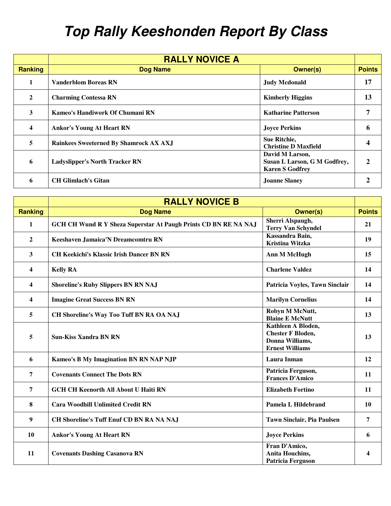## **Top Rally Keeshonden Report By Class**

|                         | <b>RALLY NOVICE A</b>                         |                                                                           |               |
|-------------------------|-----------------------------------------------|---------------------------------------------------------------------------|---------------|
| <b>Ranking</b>          | <b>Dog Name</b>                               | <b>Owner(s)</b>                                                           | <b>Points</b> |
| $\mathbf{1}$            | <b>Vanderblom Boreas RN</b>                   | <b>Judy Mcdonald</b>                                                      | 17            |
| $\mathbf{2}$            | <b>Charming Contessa RN</b>                   | <b>Kimberly Higgins</b>                                                   | 13            |
| 3                       | Kameo's Handiwork Of Chumani RN               | <b>Katharine Patterson</b>                                                |               |
| $\overline{\mathbf{4}}$ | <b>Ankor's Young At Heart RN</b>              | <b>Joyce Perkins</b>                                                      | n             |
| 5                       | <b>Rainkees Sweeterned By Shamrock AX AXJ</b> | Sue Ritchie,<br><b>Christine D Maxfield</b>                               |               |
| 6                       | <b>Ladyslipper's North Tracker RN</b>         | David M Larson,<br>Susan L Larson, G M Godfrey,<br><b>Karen S Godfrey</b> |               |
| 6                       | <b>CH Glimlach's Gitan</b>                    | <b>Joanne Slaney</b>                                                      |               |

|                         | <b>RALLY NOVICE B</b>                                           |                                                                                             |                         |
|-------------------------|-----------------------------------------------------------------|---------------------------------------------------------------------------------------------|-------------------------|
| <b>Ranking</b>          | <b>Dog Name</b>                                                 | <b>Owner(s)</b>                                                                             | <b>Points</b>           |
| 1                       | GCH CH Wund R Y Sheza Superstar At Paugh Prints CD BN RE NA NAJ | Sherri Alspaugh,<br><b>Terry Van Schyndel</b>                                               | 21                      |
| $\mathbf{2}$            | Keeshaven Jamaica'N Dreamcomtru RN                              | Kassandra Bain,<br>Kristina Witzka                                                          | 19                      |
| $\mathbf{3}$            | <b>CH Keekichi's Klassic Irish Dancer BN RN</b>                 | <b>Ann M McHugh</b>                                                                         | 15                      |
| $\overline{\mathbf{4}}$ | <b>Kelly RA</b>                                                 | <b>Charlene Valdez</b>                                                                      | 14                      |
| 4                       | <b>Shoreline's Ruby Slippers BN RN NAJ</b>                      | Patricia Voyles, Tawn Sinclair                                                              | 14                      |
| $\overline{\mathbf{4}}$ | <b>Imagine Great Success BN RN</b>                              | <b>Marilyn Cornelius</b>                                                                    | 14                      |
| 5                       | CH Shoreline's Way Too Tuff BN RA OA NAJ                        | Robyn M McNutt,<br><b>Blaine E McNutt</b>                                                   | 13                      |
| 5                       | <b>Sun-Kiss Xandra BN RN</b>                                    | Kathleen A Bloden,<br><b>Chester F Bloden,</b><br>Donna Williams,<br><b>Ernest Williams</b> | 13                      |
| 6                       | Kameo's B My Imagination BN RN NAP NJP                          | Laura Inman                                                                                 | 12                      |
| 7                       | <b>Covenants Connect The Dots RN</b>                            | Patricia Ferguson,<br><b>Frances D'Amico</b>                                                | 11                      |
| 7                       | <b>GCH CH Keenorth All About U Haiti RN</b>                     | <b>Elizabeth Fortino</b>                                                                    | 11                      |
| 8                       | <b>Cara Woodhill Unlimited Credit RN</b>                        | Pamela L Hildebrand                                                                         | <b>10</b>               |
| 9                       | <b>CH Shoreline's Tuff Enuf CD BN RA NA NAJ</b>                 | Tawn Sinclair, Pia Paulsen                                                                  | 7                       |
| 10                      | <b>Ankor's Young At Heart RN</b>                                | <b>Joyce Perkins</b>                                                                        | 6                       |
| 11                      | <b>Covenants Dashing Casanova RN</b>                            | Fran D'Amico,<br>Anita Houchins,<br><b>Patricia Ferguson</b>                                | $\overline{\mathbf{4}}$ |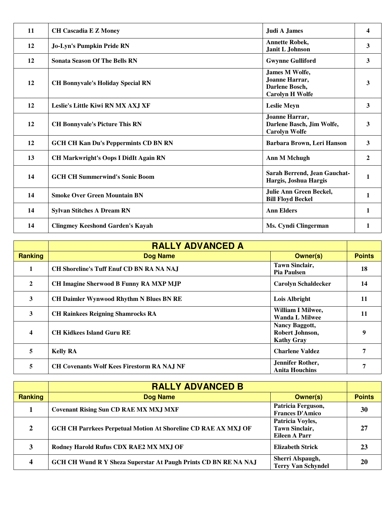| 11 | <b>CH Cascadia E Z Money</b>                 | Judi A James                                                                 | 4            |
|----|----------------------------------------------|------------------------------------------------------------------------------|--------------|
| 12 | <b>Jo-Lyn's Pumpkin Pride RN</b>             | <b>Annette Robek,</b><br>Janit L Johnson                                     | 3            |
| 12 | <b>Sonata Season Of The Bells RN</b>         | <b>Gwynne Gulliford</b>                                                      | 3            |
| 12 | <b>CH Bonnyvale's Holiday Special RN</b>     | James M Wolfe,<br>Joanne Harrar,<br>Darlene Bosch,<br><b>Carolyn H Wolfe</b> | 3            |
| 12 | Leslie's Little Kiwi RN MX AXJ XF            | <b>Leslie Meyn</b>                                                           | 3            |
| 12 | <b>CH Bonnyvale's Picture This RN</b>        | Joanne Harrar,<br>Darlene Basch, Jim Wolfe,<br><b>Carolyn Wolfe</b>          | 3            |
| 12 | <b>GCH CH Kan Du's Peppermints CD BN RN</b>  | Barbara Brown, Leri Hanson                                                   | 3            |
| 13 | <b>CH Markwright's Oops I DidIt Again RN</b> | <b>Ann M Mchugh</b>                                                          | $\mathbf{2}$ |
| 14 | <b>GCH CH Summerwind's Sonic Boom</b>        | Sarah Berrend, Jean Gauchat-<br>Hargis, Joshua Hargis                        | 1            |
| 14 | <b>Smoke Over Green Mountain BN</b>          | Julie Ann Green Beckel,<br><b>Bill Floyd Beckel</b>                          | $\mathbf{1}$ |
| 14 | <b>Sylvan Stitches A Dream RN</b>            | <b>Ann Elders</b>                                                            | 1            |
| 14 | <b>Clingmey Keeshond Garden's Kayah</b>      | Ms. Cyndi Clingerman                                                         | 1            |

|                         | <b>RALLY ADVANCED A</b>                           |                                                               |               |
|-------------------------|---------------------------------------------------|---------------------------------------------------------------|---------------|
| <b>Ranking</b>          | <b>Dog Name</b>                                   | <b>Owner(s)</b>                                               | <b>Points</b> |
| 1                       | <b>CH Shoreline's Tuff Enuf CD BN RA NA NAJ</b>   | <b>Tawn Sinclair,</b><br><b>Pia Paulsen</b>                   | 18            |
| $\overline{2}$          | <b>CH Imagine Sherwood B Funny RA MXP MJP</b>     | <b>Carolyn Schaldecker</b>                                    | 14            |
| 3                       | <b>CH Daimler Wynwood Rhythm N Blues BN RE</b>    | Lois Albright                                                 | 11            |
| 3                       | <b>CH Rainkees Reigning Shamrocks RA</b>          | William I Milwee,<br><b>Wanda L Milwee</b>                    | 11            |
| $\overline{\mathbf{4}}$ | <b>CH Kidkees Island Guru RE</b>                  | <b>Nancy Baggott,</b><br>Robert Johnson,<br><b>Kathy Gray</b> | 9             |
| 5                       | <b>Kelly RA</b>                                   | <b>Charlene Valdez</b>                                        | 7             |
| 5                       | <b>CH Covenants Wolf Kees Firestorm RA NAJ NF</b> | Jennifer Rother,<br><b>Anita Houchins</b>                     | 7             |

|                | <b>RALLY ADVANCED B</b>                                               |                                                            |               |
|----------------|-----------------------------------------------------------------------|------------------------------------------------------------|---------------|
| Ranking        | <b>Dog Name</b>                                                       | Owner(s)                                                   | <b>Points</b> |
|                | <b>Covenant Rising Sun CD RAE MX MXJ MXF</b>                          | Patricia Ferguson,<br><b>Frances D'Amico</b>               | 30            |
| $\overline{2}$ | <b>GCH CH Parrkees Perpetual Motion At Shoreline CD RAE AX MXJ OF</b> | Patricia Voyles,<br><b>Tawn Sinclair,</b><br>Eileen A Parr | 27            |
| 3              | Rodney Harold Rufus CDX RAE2 MX MXJ OF                                | <b>Elizabeth Strick</b>                                    | 23            |
| 4              | GCH CH Wund R Y Sheza Superstar At Paugh Prints CD BN RE NA NAJ       | Sherri Alspaugh,<br><b>Terry Van Schyndel</b>              | 20            |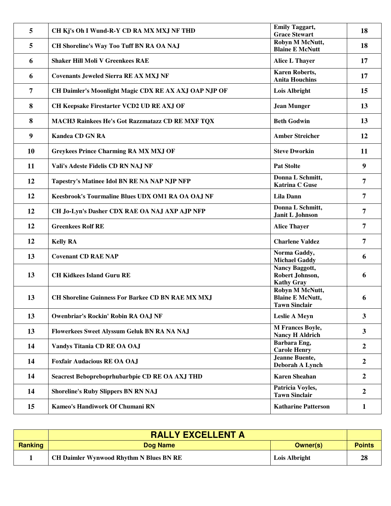| 5         | CH Kj's Oh I Wund-R-Y CD RA MX MXJ NF THD                | <b>Emily Taggart,</b><br><b>Grace Stewart</b>                      | 18               |
|-----------|----------------------------------------------------------|--------------------------------------------------------------------|------------------|
| 5         | CH Shoreline's Way Too Tuff BN RA OA NAJ                 | Robyn M McNutt,<br><b>Blaine E McNutt</b>                          | 18               |
| 6         | <b>Shaker Hill Moli V Greenkees RAE</b>                  | <b>Alice L Thayer</b>                                              | 17               |
| 6         | <b>Covenants Jeweled Sierra RE AX MXJ NF</b>             | <b>Karen Roberts,</b><br><b>Anita Houchins</b>                     | 17               |
| 7         | CH Daimler's Moonlight Magic CDX RE AX AXJ OAP NJP OF    | Lois Albright                                                      | 15               |
| 8         | CH Keepsake Firestarter VCD2 UD RE AXJ OF                | <b>Jean Munger</b>                                                 | 13               |
| 8         | MACH3 Rainkees He's Got Razzmatazz CD RE MXF TQX         | <b>Beth Godwin</b>                                                 | 13               |
| 9         | <b>Kandea CD GN RA</b>                                   | <b>Amber Streicher</b>                                             | 12               |
| <b>10</b> | <b>Greykees Prince Charming RA MX MXJ OF</b>             | <b>Steve Dworkin</b>                                               | 11               |
| 11        | Vali's Adeste Fidelis CD RN NAJ NF                       | <b>Pat Stolte</b>                                                  | $\boldsymbol{9}$ |
| 12        | Tapestry's Matinee Idol BN RE NA NAP NJP NFP             | Donna L Schmitt,<br><b>Katrina C Guse</b>                          | 7                |
| 12        | Keesbrook's Tourmaline Blues UDX OM1 RA OA OAJ NF        | <b>Lila Dann</b>                                                   | 7                |
| 12        | CH Jo-Lyn's Dasher CDX RAE OA NAJ AXP AJP NFP            | Donna L Schmitt,<br>Janit L Johnson                                | 7                |
| 12        | <b>Greenkees Rolf RE</b>                                 | <b>Alice Thayer</b>                                                | 7                |
| 12        | <b>Kelly RA</b>                                          | <b>Charlene Valdez</b>                                             | 7                |
| 13        | <b>Covenant CD RAE NAP</b>                               | Norma Gaddy,<br><b>Michael Gaddy</b>                               | 6                |
| 13        | <b>CH Kidkees Island Guru RE</b>                         | Nancy Baggott,<br>Robert Johnson,<br><b>Kathy Gray</b>             | 6                |
| 13        | <b>CH Shoreline Guinness For Barkee CD BN RAE MX MXJ</b> | Robyn M McNutt,<br><b>Blaine E McNutt,</b><br><b>Tawn Sinclair</b> | 6                |
| 13        | <b>Owenbriar's Rockin' Robin RA OAJ NF</b>               | <b>Leslie A Meyn</b>                                               | 3                |
|           |                                                          |                                                                    |                  |
| 13        | Flowerkees Sweet Alyssum Geluk BN RA NA NAJ              | M Frances Boyle,<br><b>Nancy H Aldrich</b>                         | $\mathbf{3}$     |
| 14        | Vandys Titania CD RE OA OAJ                              | Barbara Eng,<br><b>Carole Henry</b>                                | $\boldsymbol{2}$ |
| 14        | <b>Foxfair Audacious RE OA OAJ</b>                       | <b>Jeanne Buente,</b><br>Deborah A Lynch                           | $\boldsymbol{2}$ |
| 14        | Seacrest Bebopreboprhubarbpie CD RE OA AXJ THD           | <b>Karen Sheahan</b>                                               | $\boldsymbol{2}$ |
| 14        | <b>Shoreline's Ruby Slippers BN RN NAJ</b>               | Patricia Voyles,<br><b>Tawn Sinclair</b>                           | $\boldsymbol{2}$ |

|         | <b>RALLY EXCELLENT A</b>                       |               |               |
|---------|------------------------------------------------|---------------|---------------|
| Ranking | Dog Name                                       | Owner(s)      | <b>Points</b> |
|         | <b>CH Daimler Wynwood Rhythm N Blues BN RE</b> | Lois Albright | 28            |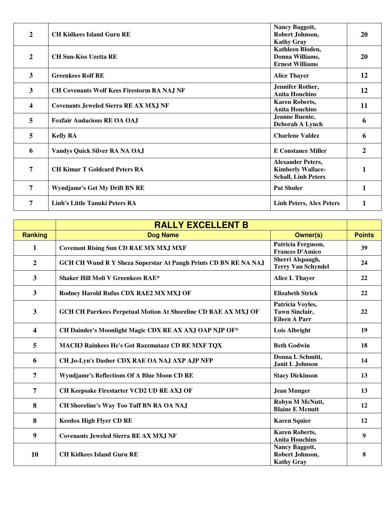| $\overline{2}$ | <b>CH Kidkees Island Guru RE</b>                  | <b>Nancy Baggott,</b><br>Robert Johnson,<br><b>Kathy Gray</b>                      | 20 |
|----------------|---------------------------------------------------|------------------------------------------------------------------------------------|----|
| $\overline{2}$ | <b>CH Sun-Kiss Uzetta RE</b>                      | Kathleen Bloden,<br>Donna Williams,<br><b>Ernest Williams</b>                      | 20 |
| $\mathbf{3}$   | <b>Greenkees Rolf RE</b>                          | <b>Alice Thayer</b>                                                                | 12 |
| $\mathbf{3}$   | <b>CH Covenants Wolf Kees Firestorm RA NAJ NF</b> | Jennifer Rother,<br><b>Anita Houchins</b>                                          | 12 |
| 4              | <b>Covenants Jeweled Sierra RE AX MXJ NF</b>      | <b>Karen Roberts,</b><br><b>Anita Houchins</b>                                     | 11 |
| 5              | <b>Foxfair Audacious RE OA OAJ</b>                | <b>Jeanne Buente,</b><br>Deborah A Lynch                                           | 6  |
| 5              | <b>Kelly RA</b>                                   | <b>Charlene Valdez</b>                                                             | 6  |
| 6              | <b>Vandys Quick Silver RA NA OAJ</b>              | <b>E</b> Constance Miller                                                          | 2  |
| 7              | <b>CH Kimar T Goldcard Peters RA</b>              | <b>Alexander Peters,</b><br><b>Kimberly Wallace-</b><br><b>Schall, Linh Peters</b> | 1  |
| 7              | Wyndjamr's Get My Drift BN RE                     | <b>Pat Shuler</b>                                                                  | 1  |
| 7              | <b>Linh's Little Tanuki Peters RA</b>             | <b>Linh Peters, Alex Peters</b>                                                    | 1  |

|                         | <b>RALLY EXCELLENT B</b>                                              |                                                                   |               |
|-------------------------|-----------------------------------------------------------------------|-------------------------------------------------------------------|---------------|
| <b>Ranking</b>          | <b>Dog Name</b>                                                       | <b>Owner(s)</b>                                                   | <b>Points</b> |
| $\mathbf{1}$            | <b>Covenant Rising Sun CD RAE MX MXJ MXF</b>                          | Patricia Ferguson,<br><b>Frances D'Amico</b>                      | 39            |
| $\boldsymbol{2}$        | GCH CH Wund R Y Sheza Superstar At Paugh Prints CD BN RE NA NAJ       | Sherri Alspaugh,<br><b>Terry Van Schyndel</b>                     | 24            |
| $\overline{\mathbf{3}}$ | <b>Shaker Hill Moli V Greenkees RAE*</b>                              | <b>Alice L Thayer</b>                                             | 22            |
| 3                       | Rodney Harold Rufus CDX RAE2 MX MXJ OF                                | <b>Elizabeth Strick</b>                                           | 22            |
| 3                       | <b>GCH CH Parrkees Perpetual Motion At Shoreline CD RAE AX MXJ OF</b> | Patricia Voyles,<br><b>Tawn Sinclair,</b><br><b>Eileen A Parr</b> | 22            |
| 4                       | CH Daimler's Moonlight Magic CDX RE AX AXJ OAP NJP OF*                | <b>Lois Albright</b>                                              | 19            |
| 5                       | MACH3 Rainkees He's Got Razzmatazz CD RE MXF TQX                      | <b>Beth Godwin</b>                                                | 18            |
| 6                       | CH Jo-Lyn's Dasher CDX RAE OA NAJ AXP AJP NFP                         | Donna L Schmitt,<br>Janit L Johnson                               | 14            |
| 7                       | <b>Wyndjamr's Reflections Of A Blue Moon CD RE</b>                    | <b>Stacy Dickinson</b>                                            | 13            |
| 7                       | CH Keepsake Firestarter VCD2 UD RE AXJ OF                             | <b>Jean Munger</b>                                                | 13            |
| 8                       | <b>CH Shoreline's Way Too Tuff BN RA OA NAJ</b>                       | Robyn M McNutt,<br><b>Blaine E Mcnutt</b>                         | 12            |
| 8                       | <b>Keedox High Flyer CD RE</b>                                        | <b>Karen Squier</b>                                               | 12            |
| 9                       | <b>Covenants Jeweled Sierra RE AX MXJ NF</b>                          | <b>Karen Roberts,</b><br><b>Anita Houchins</b>                    | 9             |
| 10                      | <b>CH Kidkees Island Guru RE</b>                                      | Nancy Baggott,<br>Robert Johnson,<br><b>Kathy Gray</b>            | 8             |